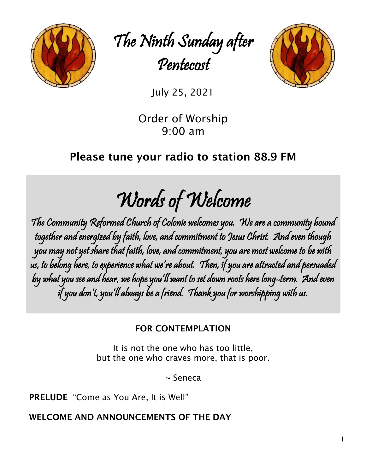

The Ninth Sunday after Pentecost



July 25, 2021

Order of Worship 9:00 am

# Please tune your radio to station 88.9 FM

Words of Welcome

The Community Reformed Church of Colonie welcomes you. We are a community bound together and energized by faith, love, and commitment to Jesus Christ. And even though you may not yet share that faith, love, and commitment, you are most welcome to be with us, to belong here, to experience what we're about. Then, if you are attracted and persuaded by what you see and hear, we hope you'll want to set down roots here long-term. And even if you don't, you'll always be a friend. Thank you for worshipping with us.

# FOR CONTEMPLATION

It is not the one who has too little, but the one who craves more, that is poor.

~ Seneca

PRELUDE "Come as You Are, It is Well"

WELCOME AND ANNOUNCEMENTS OF THE DAY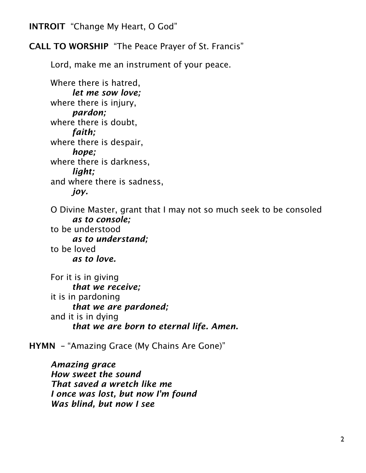INTROIT "Change My Heart, O God"

# CALL TO WORSHIP "The Peace Prayer of St. Francis"

Lord, make me an instrument of your peace.

Where there is hatred, *let me sow love;*  where there is injury, *pardon;*  where there is doubt, *faith;*  where there is despair, *hope;*  where there is darkness, *light;*  and where there is sadness, *joy.* 

O Divine Master, grant that I may not so much seek to be consoled *as to console;*

to be understood *as to understand;* to be loved *as to love.* 

For it is in giving *that we receive;* it is in pardoning *that we are pardoned;* and it is in dying *that we are born to eternal life. Amen.* 

HYMN – "Amazing Grace (My Chains Are Gone)"

*Amazing grace How sweet the sound That saved a wretch like me I once was lost, but now I'm found Was blind, but now I see*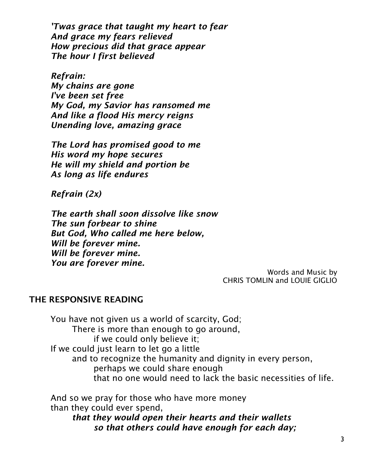*'Twas grace that taught my heart to fear And grace my fears relieved How precious did that grace appear The hour I first believed*

*Refrain: My chains are gone I've been set free My God, my Savior has ransomed me And like a flood His mercy reigns Unending love, amazing grace*

*The Lord has promised good to me His word my hope secures He will my shield and portion be As long as life endures*

*Refrain (2x)*

*The earth shall soon dissolve like snow The sun forbear to shine But God, Who called me here below, Will be forever mine. Will be forever mine. You are forever mine.*

Words and Music by CHRIS TOMLIN and LOUIE GIGLIO

# THE RESPONSIVE READING

You have not given us a world of scarcity, God; There is more than enough to go around, if we could only believe it; If we could just learn to let go a little and to recognize the humanity and dignity in every person, perhaps we could share enough that no one would need to lack the basic necessities of life.

And so we pray for those who have more money than they could ever spend,

*that they would open their hearts and their wallets so that others could have enough for each day;*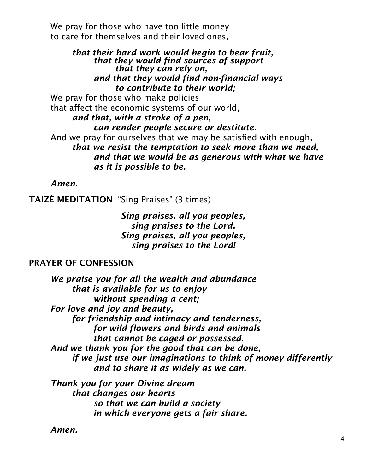We pray for those who have too little money to care for themselves and their loved ones,

#### *that their hard work would begin to bear fruit, that they would find sources of support that they can rely on, and that they would find non-financial ways to contribute to their world;* We pray for those who make policies

that affect the economic systems of our world, *and that, with a stroke of a pen, can render people secure or destitute.* And we pray for ourselves that we may be satisfied with enough, *that we resist the temptation to seek more than we need, and that we would be as generous with what we have as it is possible to be.*

*Amen.*

TAIZÉ MEDITATION "Sing Praises" (3 times)

*Sing praises, all you peoples, sing praises to the Lord. Sing praises, all you peoples, sing praises to the Lord!*

# PRAYER OF CONFESSION

*We praise you for all the wealth and abundance that is available for us to enjoy without spending a cent; For love and joy and beauty, for friendship and intimacy and tenderness, for wild flowers and birds and animals that cannot be caged or possessed. And we thank you for the good that can be done, if we just use our imaginations to think of money differently and to share it as widely as we can.*

*Thank you for your Divine dream that changes our hearts so that we can build a society in which everyone gets a fair share.*

*Amen.*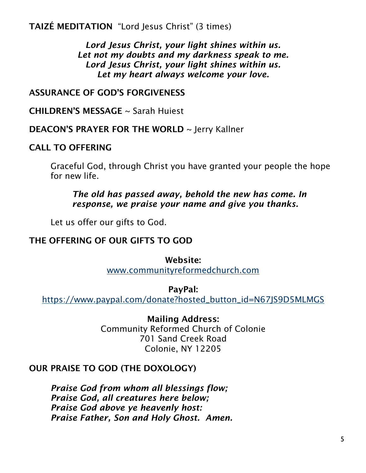TAIZÉ MEDITATION "Lord Jesus Christ" (3 times)

*Lord Jesus Christ, your light shines within us. Let not my doubts and my darkness speak to me. Lord Jesus Christ, your light shines within us. Let my heart always welcome your love.*

# ASSURANCE OF GOD'S FORGIVENESS

CHILDREN'S MESSAGE ~ Sarah Huiest

DEACON'S PRAYER FOR THE WORLD ~ Jerry Kallner

#### CALL TO OFFERING

Graceful God, through Christ you have granted your people the hope for new life.

*The old has passed away, behold the new has come. In response, we praise your name and give you thanks.*

Let us offer our gifts to God.

#### THE OFFERING OF OUR GIFTS TO GOD

#### Website:

[www.communityreformedchurch.com](http://www.communityreformedchurch.com/)

#### PayPal:

[https://www.paypal.com/donate?hosted\\_button\\_id=N67JS9D5MLMGS](https://www.paypal.com/donate?hosted_button_id=N67JS9D5MLMGS)

#### Mailing Address:

Community Reformed Church of Colonie 701 Sand Creek Road Colonie, NY 12205

# OUR PRAISE TO GOD (THE DOXOLOGY)

*Praise God from whom all blessings flow; Praise God, all creatures here below; Praise God above ye heavenly host: Praise Father, Son and Holy Ghost. Amen.*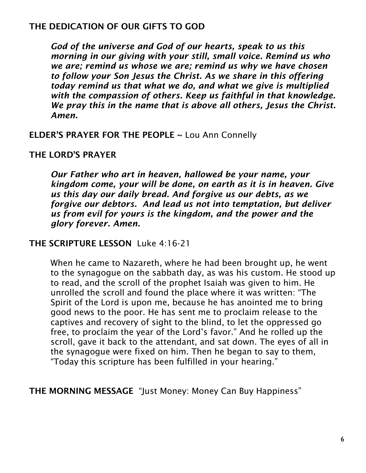# THE DEDICATION OF OUR GIFTS TO GOD

*God of the universe and God of our hearts, speak to us this morning in our giving with your still, small voice. Remind us who we are; remind us whose we are; remind us why we have chosen to follow your Son Jesus the Christ. As we share in this offering today remind us that what we do, and what we give is multiplied with the compassion of others. Keep us faithful in that knowledge. We pray this in the name that is above all others, Jesus the Christ. Amen.*

ELDER'S PRAYER FOR THE PEOPLE ~ Lou Ann Connelly

### THE LORD'S PRAYER

*Our Father who art in heaven, hallowed be your name, your kingdom come, your will be done, on earth as it is in heaven. Give us this day our daily bread. And forgive us our debts, as we forgive our debtors. And lead us not into temptation, but deliver us from evil for yours is the kingdom, and the power and the glory forever. Amen.*

THE SCRIPTURE LESSON Luke 4:16-21

When he came to Nazareth, where he had been brought up, he went to the synagogue on the sabbath day, as was his custom. He stood up to read, and the scroll of the prophet Isaiah was given to him. He unrolled the scroll and found the place where it was written: "The Spirit of the Lord is upon me, because he has anointed me to bring good news to the poor. He has sent me to proclaim release to the captives and recovery of sight to the blind, to let the oppressed go free, to proclaim the year of the Lord's favor." And he rolled up the scroll, gave it back to the attendant, and sat down. The eyes of all in the synagogue were fixed on him. Then he began to say to them, "Today this scripture has been fulfilled in your hearing."

THE MORNING MESSAGE "Just Money: Money Can Buy Happiness"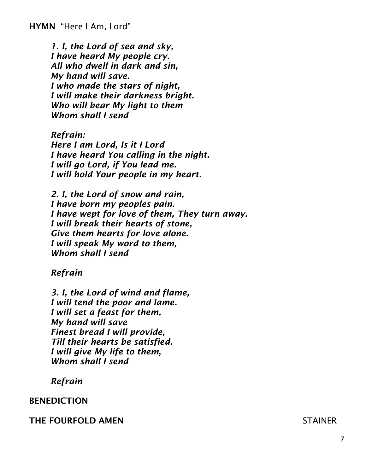*1. I, the Lord of sea and sky, I have heard My people cry. All who dwell in dark and sin, My hand will save. I who made the stars of night, I will make their darkness bright. Who will bear My light to them Whom shall I send*

*Refrain: Here I am Lord, Is it I Lord I have heard You calling in the night. I will go Lord, if You lead me. I will hold Your people in my heart.*

*2. I, the Lord of snow and rain, I have born my peoples pain. I have wept for love of them, They turn away. I will break their hearts of stone, Give them hearts for love alone. I will speak My word to them, Whom shall I send*

#### *Refrain*

*3. I, the Lord of wind and flame, I will tend the poor and lame. I will set a feast for them, My hand will save Finest bread I will provide, Till their hearts be satisfied. I will give My life to them*, *Whom shall I send*

#### *Refrain*

#### BENEDICTION

#### THE FOURFOLD AMEN STAINER